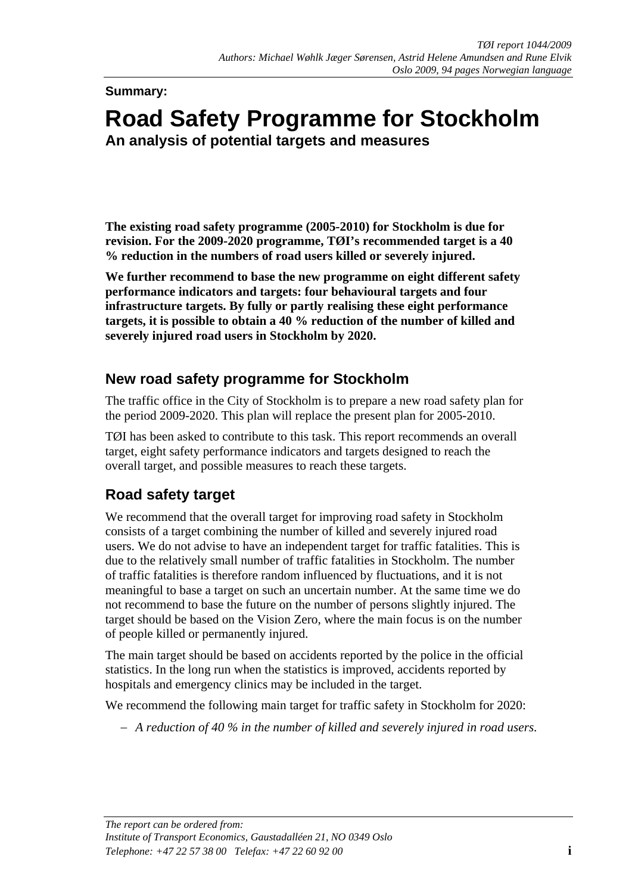**Summary:** 

# **Road Safety Programme for Stockholm An analysis of potential targets and measures**

**The existing road safety programme (2005-2010) for Stockholm is due for revision. For the 2009-2020 programme, TØI's recommended target is a 40 % reduction in the numbers of road users killed or severely injured.** 

**We further recommend to base the new programme on eight different safety performance indicators and targets: four behavioural targets and four infrastructure targets. By fully or partly realising these eight performance targets, it is possible to obtain a 40 % reduction of the number of killed and severely injured road users in Stockholm by 2020.** 

### **New road safety programme for Stockholm**

The traffic office in the City of Stockholm is to prepare a new road safety plan for the period 2009-2020. This plan will replace the present plan for 2005-2010.

TØI has been asked to contribute to this task. This report recommends an overall target, eight safety performance indicators and targets designed to reach the overall target, and possible measures to reach these targets.

### **Road safety target**

We recommend that the overall target for improving road safety in Stockholm consists of a target combining the number of killed and severely injured road users. We do not advise to have an independent target for traffic fatalities. This is due to the relatively small number of traffic fatalities in Stockholm. The number of traffic fatalities is therefore random influenced by fluctuations, and it is not meaningful to base a target on such an uncertain number. At the same time we do not recommend to base the future on the number of persons slightly injured. The target should be based on the Vision Zero, where the main focus is on the number of people killed or permanently injured.

The main target should be based on accidents reported by the police in the official statistics. In the long run when the statistics is improved, accidents reported by hospitals and emergency clinics may be included in the target.

We recommend the following main target for traffic safety in Stockholm for 2020:

− *A reduction of 40 % in the number of killed and severely injured in road users.*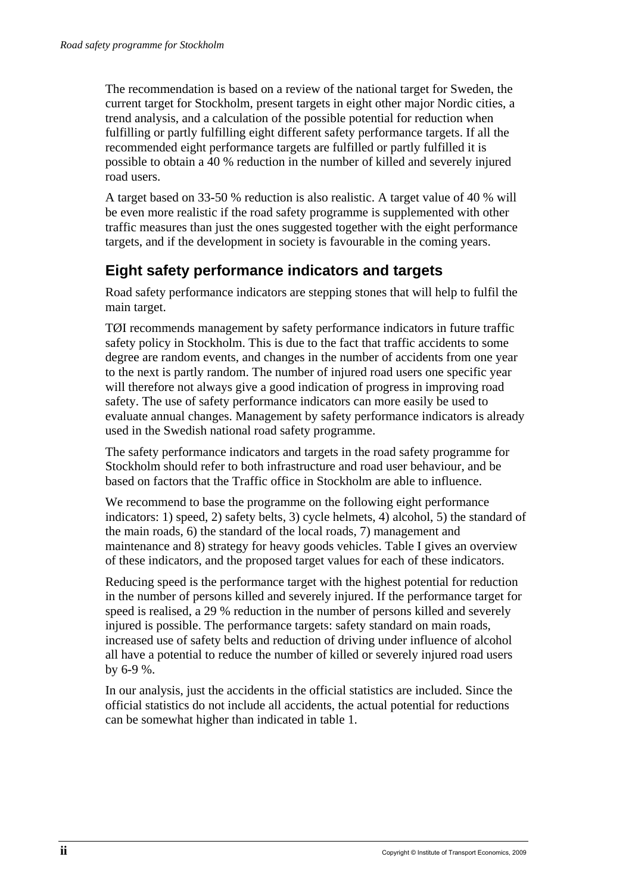The recommendation is based on a review of the national target for Sweden, the current target for Stockholm, present targets in eight other major Nordic cities, a trend analysis, and a calculation of the possible potential for reduction when fulfilling or partly fulfilling eight different safety performance targets. If all the recommended eight performance targets are fulfilled or partly fulfilled it is possible to obtain a 40 % reduction in the number of killed and severely injured road users.

A target based on 33-50 % reduction is also realistic. A target value of 40 % will be even more realistic if the road safety programme is supplemented with other traffic measures than just the ones suggested together with the eight performance targets, and if the development in society is favourable in the coming years.

## **Eight safety performance indicators and targets**

Road safety performance indicators are stepping stones that will help to fulfil the main target.

TØI recommends management by safety performance indicators in future traffic safety policy in Stockholm. This is due to the fact that traffic accidents to some degree are random events, and changes in the number of accidents from one year to the next is partly random. The number of injured road users one specific year will therefore not always give a good indication of progress in improving road safety. The use of safety performance indicators can more easily be used to evaluate annual changes. Management by safety performance indicators is already used in the Swedish national road safety programme.

The safety performance indicators and targets in the road safety programme for Stockholm should refer to both infrastructure and road user behaviour, and be based on factors that the Traffic office in Stockholm are able to influence.

We recommend to base the programme on the following eight performance indicators: 1) speed, 2) safety belts, 3) cycle helmets, 4) alcohol, 5) the standard of the main roads, 6) the standard of the local roads, 7) management and maintenance and 8) strategy for heavy goods vehicles. Table I gives an overview of these indicators, and the proposed target values for each of these indicators.

Reducing speed is the performance target with the highest potential for reduction in the number of persons killed and severely injured. If the performance target for speed is realised, a 29 % reduction in the number of persons killed and severely injured is possible. The performance targets: safety standard on main roads, increased use of safety belts and reduction of driving under influence of alcohol all have a potential to reduce the number of killed or severely injured road users by 6-9 %.

In our analysis, just the accidents in the official statistics are included. Since the official statistics do not include all accidents, the actual potential for reductions can be somewhat higher than indicated in table 1.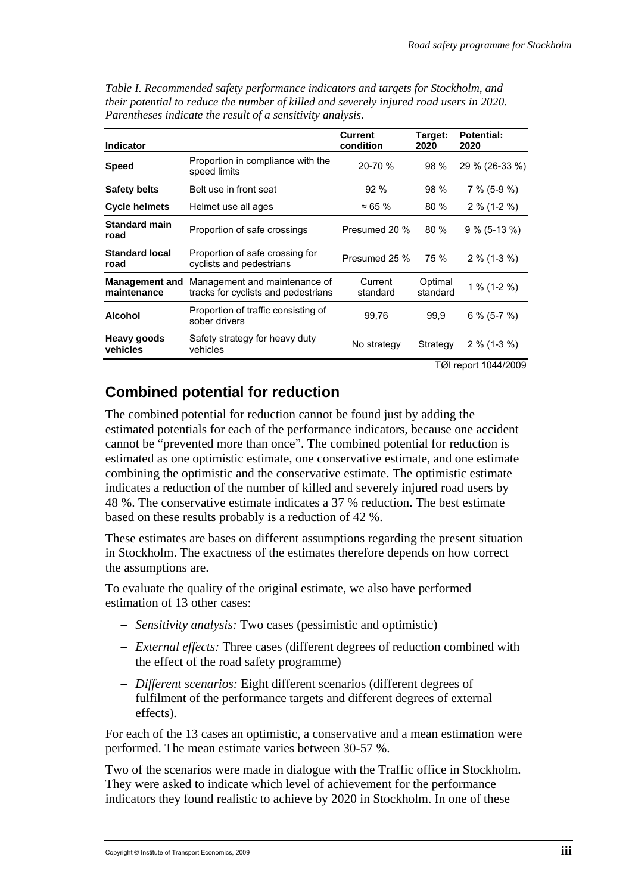| <b>Indicator</b>                     |                                                                      | Current<br>condition | Target:<br>2020     | <b>Potential:</b><br>2020 |
|--------------------------------------|----------------------------------------------------------------------|----------------------|---------------------|---------------------------|
| <b>Speed</b>                         | Proportion in compliance with the<br>speed limits                    | 20-70 %              | 98 %                | 29 % (26-33 %)            |
| <b>Safety belts</b>                  | Belt use in front seat                                               | 92%                  | 98 %                | $7\%$ (5-9 %)             |
| <b>Cycle helmets</b>                 | Helmet use all ages                                                  | $\approx 65 \%$      | 80%                 | $2\%$ (1-2 %)             |
| <b>Standard main</b><br>road         | Proportion of safe crossings                                         | Presumed 20 %        | 80%                 | $9\%$ (5-13 %)            |
| <b>Standard local</b><br>road        | Proportion of safe crossing for<br>cyclists and pedestrians          | Presumed 25 %        | 75 %                | $2\%$ (1-3 %)             |
| <b>Management and</b><br>maintenance | Management and maintenance of<br>tracks for cyclists and pedestrians | Current<br>standard  | Optimal<br>standard | 1 % $(1-2 \%)$            |
| <b>Alcohol</b>                       | Proportion of traffic consisting of<br>sober drivers                 | 99,76                | 99,9                | $6\%$ (5-7 %)             |
| <b>Heavy goods</b><br>vehicles       | Safety strategy for heavy duty<br>vehicles                           | No strategy          | Strategy            | $2\%$ (1-3 %)             |

*Table I. Recommended safety performance indicators and targets for Stockholm, and their potential to reduce the number of killed and severely injured road users in 2020. Parentheses indicate the result of a sensitivity analysis.* 

TØI report 1044/2009

### **Combined potential for reduction**

The combined potential for reduction cannot be found just by adding the estimated potentials for each of the performance indicators, because one accident cannot be "prevented more than once". The combined potential for reduction is estimated as one optimistic estimate, one conservative estimate, and one estimate combining the optimistic and the conservative estimate. The optimistic estimate indicates a reduction of the number of killed and severely injured road users by 48 %. The conservative estimate indicates a 37 % reduction. The best estimate based on these results probably is a reduction of 42 %.

These estimates are bases on different assumptions regarding the present situation in Stockholm. The exactness of the estimates therefore depends on how correct the assumptions are.

To evaluate the quality of the original estimate, we also have performed estimation of 13 other cases:

- − *Sensitivity analysis:* Two cases (pessimistic and optimistic)
- − *External effects:* Three cases (different degrees of reduction combined with the effect of the road safety programme)
- − *Different scenarios:* Eight different scenarios (different degrees of fulfilment of the performance targets and different degrees of external effects).

For each of the 13 cases an optimistic, a conservative and a mean estimation were performed. The mean estimate varies between 30-57 %.

Two of the scenarios were made in dialogue with the Traffic office in Stockholm. They were asked to indicate which level of achievement for the performance indicators they found realistic to achieve by 2020 in Stockholm. In one of these